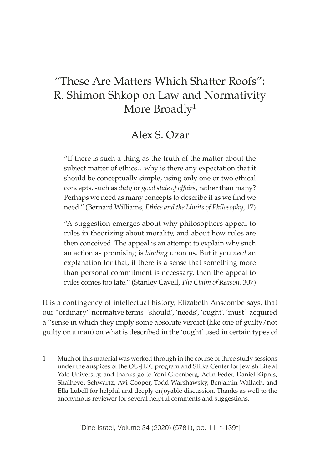# "These Are Matters Which Shatter Roofs": R. Shimon Shkop on Law and Normativity More Broadly<sup>1</sup>

## Alex S. Ozar

"If there is such a thing as the truth of the matter about the subject matter of ethics…why is there any expectation that it should be conceptually simple, using only one or two ethical concepts, such as *duty* or *good state of affairs*, rather than many? Perhaps we need as many concepts to describe it as we find we need." (Bernard Williams, *Ethics and the Limits of Philosophy*, 17)

"A suggestion emerges about why philosophers appeal to rules in theorizing about morality, and about how rules are then conceived. The appeal is an attempt to explain why such an action as promising is *binding* upon us. But if you *need* an explanation for that, if there is a sense that something more than personal commitment is necessary, then the appeal to rules comes too late." (Stanley Cavell, *The Claim of Reason*, 307)

It is a contingency of intellectual history, Elizabeth Anscombe says, that our "ordinary" normative terms–'should', 'needs', 'ought', 'must'–acquired a "sense in which they imply some absolute verdict (like one of guilty/not guilty on a man) on what is described in the 'ought' used in certain types of

1 Much of this material was worked through in the course of three study sessions under the auspices of the OU-JLIC program and Slifka Center for Jewish Life at Yale University, and thanks go to Yoni Greenberg, Adin Feder, Daniel Kipnis, Shalhevet Schwartz, Avi Cooper, Todd Warshawsky, Benjamin Wallach, and Ella Lubell for helpful and deeply enjoyable discussion. Thanks as well to the anonymous reviewer for several helpful comments and suggestions.

[Diné Israel, Volume 34 (2020) (5781), pp. 111\*-139\*]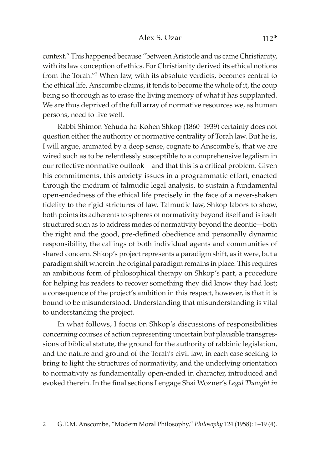context." This happened because "between Aristotle and us came Christianity, with its law conception of ethics. For Christianity derived its ethical notions from the Torah."2 When law, with its absolute verdicts, becomes central to the ethical life, Anscombe claims, it tends to become the whole of it, the coup being so thorough as to erase the living memory of what it has supplanted. We are thus deprived of the full array of normative resources we, as human persons, need to live well.

Rabbi Shimon Yehuda ha-Kohen Shkop (1860–1939) certainly does not question either the authority or normative centrality of Torah law. But he is, I will argue, animated by a deep sense, cognate to Anscombe's, that we are wired such as to be relentlessly susceptible to a comprehensive legalism in our reflective normative outlook—and that this is a critical problem. Given his commitments, this anxiety issues in a programmatic effort, enacted through the medium of talmudic legal analysis, to sustain a fundamental open-endedness of the ethical life precisely in the face of a never-shaken fidelity to the rigid strictures of law. Talmudic law, Shkop labors to show, both points its adherents to spheres of normativity beyond itself and is itself structured such as to address modes of normativity beyond the deontic—both the right and the good, pre-defined obedience and personally dynamic responsibility, the callings of both individual agents and communities of shared concern. Shkop's project represents a paradigm shift, as it were, but a paradigm shift wherein the original paradigm remains in place. This requires an ambitious form of philosophical therapy on Shkop's part, a procedure for helping his readers to recover something they did know they had lost; a consequence of the project's ambition in this respect, however, is that it is bound to be misunderstood. Understanding that misunderstanding is vital to understanding the project.

In what follows, I focus on Shkop's discussions of responsibilities concerning courses of action representing uncertain but plausible transgressions of biblical statute, the ground for the authority of rabbinic legislation, and the nature and ground of the Torah's civil law, in each case seeking to bring to light the structures of normativity, and the underlying orientation to normativity as fundamentally open-ended in character, introduced and evoked therein. In the final sections I engage Shai Wozner's *Legal Thought in*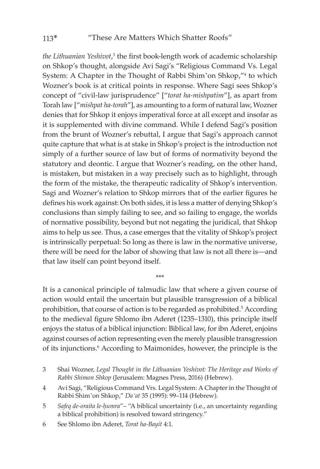the Lithuanian Yeshivot,<sup>3</sup> the first book-length work of academic scholarship on Shkop's thought, alongside Avi Sagi's "Religious Command Vs. Legal System: A Chapter in the Thought of Rabbi Shim'on Shkop,"<sup>4</sup> to which Wozner's book is at critical points in response. Where Sagi sees Shkop's concept of "civil-law jurisprudence" ["*torat ha-mishpatim*"], as apart from Torah law ["*mishpat ha-torah*"], as amounting to a form of natural law, Wozner denies that for Shkop it enjoys imperatival force at all except and insofar as it is supplemented with divine command. While I defend Sagi's position from the brunt of Wozner's rebuttal, I argue that Sagi's approach cannot quite capture that what is at stake in Shkop's project is the introduction not simply of a further source of law but of forms of normativity beyond the statutory and deontic. I argue that Wozner's reading, on the other hand, is mistaken, but mistaken in a way precisely such as to highlight, through the form of the mistake, the therapeutic radicality of Shkop's intervention. Sagi and Wozner's relation to Shkop mirrors that of the earlier figures he defines his work against: On both sides, it is less a matter of denying Shkop's conclusions than simply failing to see, and so failing to engage, the worlds of normative possibility, beyond but not negating the juridical, that Shkop aims to help us see. Thus, a case emerges that the vitality of Shkop's project is intrinsically perpetual: So long as there is law in the normative universe, there will be need for the labor of showing that law is not all there is—and that law itself can point beyond itself.

It is a canonical principle of talmudic law that where a given course of action would entail the uncertain but plausible transgression of a biblical prohibition, that course of action is to be regarded as prohibited.<sup>5</sup> According to the medieval figure Shlomo ibn Aderet (1235–1310), this principle itself enjoys the status of a biblical injunction: Biblical law, for ibn Aderet, enjoins against courses of action representing even the merely plausible transgression of its injunctions.<sup>6</sup> According to Maimonides, however, the principle is the

\*\*\*

- 3 Shai Wozner, *Legal Thought in the Lithuanian Yeshivot: The Heritage and Works of Rabbi Shimon Shkop* (Jerusalem: Magnes Press, 2016) (Hebrew).
- 4 Avi Sagi, "Religious Command Vrs. Legal System: A Chapter in the Thought of Rabbi Shim'on Shkop," *Da'at* 35 (1995): 99–114 (Hebrew).
- 5 *Safeq de-oraita le-ḥumra*"– "A biblical uncertainty (i.e., an uncertainty regarding a biblical prohibition) is resolved toward stringency."

6 See Shlomo ibn Aderet, *Torat ha-Bayit* 4:1.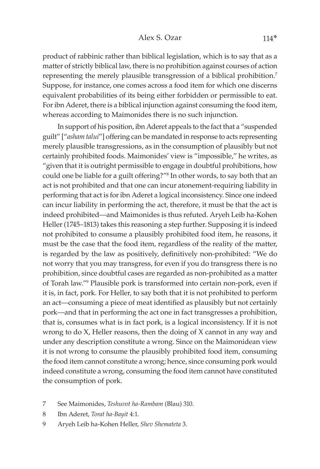#### Alex S. Ozar 114\*

product of rabbinic rather than biblical legislation, which is to say that as a matter of strictly biblical law, there is no prohibition against courses of action representing the merely plausible transgression of a biblical prohibition.7 Suppose, for instance, one comes across a food item for which one discerns equivalent probabilities of its being either forbidden or permissible to eat. For ibn Aderet, there is a biblical injunction against consuming the food item, whereas according to Maimonides there is no such injunction.

In support of his position, ibn Aderet appeals to the fact that a "suspended guilt" ["*asham talui*"] offering can be mandated in response to acts representing merely plausible transgressions, as in the consumption of plausibly but not certainly prohibited foods. Maimonides' view is "impossible," he writes, as "given that it is outright permissible to engage in doubtful prohibitions, how could one be liable for a guilt offering?"8 In other words, to say both that an act is not prohibited and that one can incur atonement-requiring liability in performing that act is for ibn Aderet a logical inconsistency. Since one indeed can incur liability in performing the act, therefore, it must be that the act is indeed prohibited—and Maimonides is thus refuted. Aryeh Leib ha-Kohen Heller (1745–1813) takes this reasoning a step further. Supposing it is indeed not prohibited to consume a plausibly prohibited food item, he reasons, it must be the case that the food item, regardless of the reality of the matter, is regarded by the law as positively, definitively non-prohibited: "We do not worry that you may transgress, for even if you do transgress there is no prohibition, since doubtful cases are regarded as non-prohibited as a matter of Torah law."9 Plausible pork is transformed into certain non-pork, even if it is, in fact, pork. For Heller, to say both that it is not prohibited to perform an act—consuming a piece of meat identified as plausibly but not certainly pork—and that in performing the act one in fact transgresses a prohibition, that is, consumes what is in fact pork, is a logical inconsistency. If it is not wrong to do X, Heller reasons, then the doing of X cannot in any way and under any description constitute a wrong. Since on the Maimonidean view it is not wrong to consume the plausibly prohibited food item, consuming the food item cannot constitute a wrong; hence, since consuming pork would indeed constitute a wrong, consuming the food item cannot have constituted the consumption of pork.

- 7 See Maimonides, *Teshuvot ha-Rambam* (Blau) 310.
- 8 Ibn Aderet, *Torat ha-Bayit* 4:1.
- 9 Aryeh Leib ha-Kohen Heller, *Shev Shemateta* 3.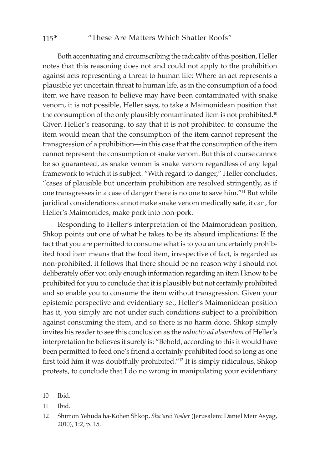#### 115\* "These Are Matters Which Shatter Roofs"

Both accentuating and circumscribing the radicality of this position, Heller notes that this reasoning does not and could not apply to the prohibition against acts representing a threat to human life: Where an act represents a plausible yet uncertain threat to human life, as in the consumption of a food item we have reason to believe may have been contaminated with snake venom, it is not possible, Heller says, to take a Maimonidean position that the consumption of the only plausibly contaminated item is not prohibited.<sup>10</sup> Given Heller's reasoning, to say that it is not prohibited to consume the item would mean that the consumption of the item cannot represent the transgression of a prohibition—in this case that the consumption of the item cannot represent the consumption of snake venom. But this of course cannot be so guaranteed, as snake venom is snake venom regardless of any legal framework to which it is subject. "With regard to danger," Heller concludes, "cases of plausible but uncertain prohibition are resolved stringently, as if one transgresses in a case of danger there is no one to save him."11 But while juridical considerations cannot make snake venom medically safe, it can, for Heller's Maimonides, make pork into non-pork.

Responding to Heller's interpretation of the Maimonidean position, Shkop points out one of what he takes to be its absurd implications: If the fact that you are permitted to consume what is to you an uncertainly prohibited food item means that the food item, irrespective of fact, is regarded as non-prohibited, it follows that there should be no reason why I should not deliberately offer you only enough information regarding an item I know to be prohibited for you to conclude that it is plausibly but not certainly prohibited and so enable you to consume the item without transgression. Given your epistemic perspective and evidentiary set, Heller's Maimonidean position has it, you simply are not under such conditions subject to a prohibition against consuming the item, and so there is no harm done. Shkop simply invites his reader to see this conclusion as the *reductio ad absurdum* of Heller's interpretation he believes it surely is: "Behold, according to this it would have been permitted to feed one's friend a certainly prohibited food so long as one first told him it was doubtfully prohibited."12 It is simply ridiculous, Shkop protests, to conclude that I do no wrong in manipulating your evidentiary

12 Shimon Yehuda ha-Kohen Shkop, *Sha'arei Yosher* (Jerusalem: Daniel Meir Asyag, 2010), 1:2, p. 15.

<sup>10</sup> Ibid.

<sup>11</sup> Ibid.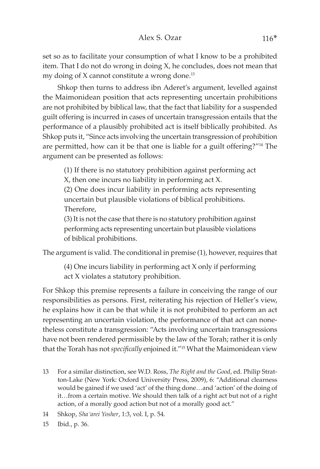set so as to facilitate your consumption of what I know to be a prohibited item. That I do not do wrong in doing X, he concludes, does not mean that my doing of X cannot constitute a wrong done.13

Shkop then turns to address ibn Aderet's argument, levelled against the Maimonidean position that acts representing uncertain prohibitions are not prohibited by biblical law, that the fact that liability for a suspended guilt offering is incurred in cases of uncertain transgression entails that the performance of a plausibly prohibited act is itself biblically prohibited. As Shkop puts it, "Since acts involving the uncertain transgression of prohibition are permitted, how can it be that one is liable for a guilt offering?"<sup>14</sup> The argument can be presented as follows:

(1) If there is no statutory prohibition against performing act X, then one incurs no liability in performing act X.

(2) One does incur liability in performing acts representing uncertain but plausible violations of biblical prohibitions. Therefore,

(3) It is not the case that there is no statutory prohibition against performing acts representing uncertain but plausible violations of biblical prohibitions.

The argument is valid. The conditional in premise (1), however, requires that

(4) One incurs liability in performing act X only if performing act X violates a statutory prohibition.

For Shkop this premise represents a failure in conceiving the range of our responsibilities as persons. First, reiterating his rejection of Heller's view, he explains how it can be that while it is not prohibited to perform an act representing an uncertain violation, the performance of that act can nonetheless constitute a transgression: "Acts involving uncertain transgressions have not been rendered permissible by the law of the Torah; rather it is only that the Torah has not *specifically* enjoined it."15 What the Maimonidean view

- 13 For a similar distinction, see W.D. Ross, *The Right and the Good*, ed. Philip Stratton-Lake (New York: Oxford University Press, 2009), 6: "Additional clearness would be gained if we used 'act' of the thing done…and 'action' of the doing of it…from a certain motive. We should then talk of a right act but not of a right action, of a morally good action but not of a morally good act."
- 14 Shkop, *Sha'arei Yosher*, 1:3, vol. I, p. 54.
- 15 Ibid., p. 36.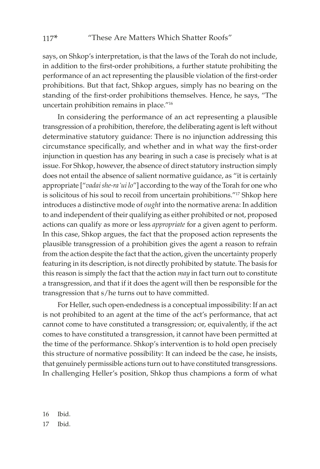says, on Shkop's interpretation, is that the laws of the Torah do not include, in addition to the first-order prohibitions, a further statute prohibiting the performance of an act representing the plausible violation of the first-order prohibitions. But that fact, Shkop argues, simply has no bearing on the standing of the first-order prohibitions themselves. Hence, he says, "The uncertain prohibition remains in place."16

In considering the performance of an act representing a plausible transgression of a prohibition, therefore, the deliberating agent is left without determinative statutory guidance: There is no injunction addressing this circumstance specifically, and whether and in what way the first-order injunction in question has any bearing in such a case is precisely what is at issue. For Shkop, however, the absence of direct statutory instruction simply does not entail the absence of salient normative guidance, as "it is certainly appropriate ["*vadai she-ra'ui lo*"] according to the way of the Torah for one who is solicitous of his soul to recoil from uncertain prohibitions."17 Shkop here introduces a distinctive mode of *ought* into the normative arena: In addition to and independent of their qualifying as either prohibited or not, proposed actions can qualify as more or less *appropriate* for a given agent to perform. In this case, Shkop argues, the fact that the proposed action represents the plausible transgression of a prohibition gives the agent a reason to refrain from the action despite the fact that the action, given the uncertainty properly featuring in its description, is not directly prohibited by statute. The basis for this reason is simply the fact that the action *may* in fact turn out to constitute a transgression, and that if it does the agent will then be responsible for the transgression that s/he turns out to have committed.

For Heller, such open-endedness is a conceptual impossibility: If an act is not prohibited to an agent at the time of the act's performance, that act cannot come to have constituted a transgression; or, equivalently, if the act comes to have constituted a transgression, it cannot have been permitted at the time of the performance. Shkop's intervention is to hold open precisely this structure of normative possibility: It can indeed be the case, he insists, that genuinely permissible actions turn out to have constituted transgressions. In challenging Heller's position, Shkop thus champions a form of what

16 Ibid.

17 Ibid.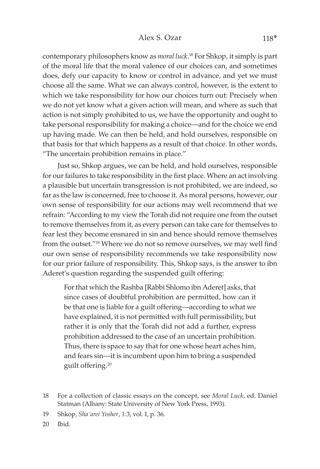contemporary philosophers know as *moral luck*. 18 For Shkop, it simply is part of the moral life that the moral valence of our choices can, and sometimes does, defy our capacity to know or control in advance, and yet we must choose all the same. What we can always control, however, is the extent to which we take responsibility for how our choices turn out: Precisely when we do not yet know what a given action will mean, and where as such that action is not simply prohibited to us, we have the opportunity and ought to take personal responsibility for making a choice—and for the choice we end up having made. We can then be held, and hold ourselves, responsible on that basis for that which happens as a result of that choice. In other words, "The uncertain prohibition remains in place."

Just so, Shkop argues, we can be held, and hold ourselves, responsible for our failures to take responsibility in the first place. Where an act involving a plausible but uncertain transgression is not prohibited, we are indeed, so far as the law is concerned, free to choose it. As moral persons, however, our own sense of responsibility for our actions may well recommend that we refrain: "According to my view the Torah did not require one from the outset to remove themselves from it, as every person can take care for themselves to fear lest they become ensnared in sin and hence should remove themselves from the outset."19 Where we do not so remove ourselves, we may well find our own sense of responsibility recommends we take responsibility now for our prior failure of responsibility. This, Shkop says, is the answer to ibn Aderet's question regarding the suspended guilt offering:

For that which the Rashba [Rabbi Shlomo ibn Aderet] asks, that since cases of doubtful prohibition are permitted, how can it be that one is liable for a guilt offering—according to what we have explained, it is not permitted with full permissibility, but rather it is only that the Torah did not add a further, express prohibition addressed to the case of an uncertain prohibition. Thus, there is space to say that for one whose heart aches him, and fears sin—it is incumbent upon him to bring a suspended guilt offering.20

<sup>18</sup> For a collection of classic essays on the concept, see *Moral Luck*, ed. Daniel Statman (Albany: State University of New York Press, 1993).

<sup>19</sup> Shkop, *Sha'arei Yosher*, 1:3, vol. I, p. 36.

<sup>20</sup> Ibid.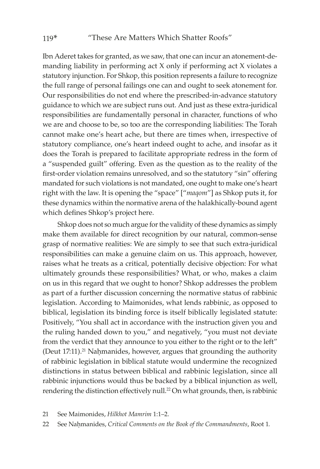Ibn Aderet takes for granted, as we saw, that one can incur an atonement-demanding liability in performing act X only if performing act X violates a statutory injunction. For Shkop, this position represents a failure to recognize the full range of personal failings one can and ought to seek atonement for. Our responsibilities do not end where the prescribed-in-advance statutory guidance to which we are subject runs out. And just as these extra-juridical responsibilities are fundamentally personal in character, functions of who we are and choose to be, so too are the corresponding liabilities: The Torah cannot make one's heart ache, but there are times when, irrespective of statutory compliance, one's heart indeed ought to ache, and insofar as it does the Torah is prepared to facilitate appropriate redress in the form of a "suspended guilt" offering. Even as the question as to the reality of the first-order violation remains unresolved, and so the statutory "sin" offering mandated for such violations is not mandated, one ought to make one's heart right with the law. It is opening the "space" ["*maqom*"] as Shkop puts it, for these dynamics within the normative arena of the halakhically-bound agent which defines Shkop's project here.

Shkop does not so much argue for the validity of these dynamics as simply make them available for direct recognition by our natural, common-sense grasp of normative realities: We are simply to see that such extra-juridical responsibilities can make a genuine claim on us. This approach, however, raises what he treats as a critical, potentially decisive objection: For what ultimately grounds these responsibilities? What, or who, makes a claim on us in this regard that we ought to honor? Shkop addresses the problem as part of a further discussion concerning the normative status of rabbinic legislation. According to Maimonides, what lends rabbinic, as opposed to biblical, legislation its binding force is itself biblically legislated statute: Positively, "You shall act in accordance with the instruction given you and the ruling handed down to you," and negatively, "you must not deviate from the verdict that they announce to you either to the right or to the left" (Deut  $17:11$ ).<sup>21</sup> Nahmanides, however, argues that grounding the authority of rabbinic legislation in biblical statute would undermine the recognized distinctions in status between biblical and rabbinic legislation, since all rabbinic injunctions would thus be backed by a biblical injunction as well, rendering the distinction effectively null.<sup>22</sup> On what grounds, then, is rabbinic

<sup>21</sup> See Maimonides, *Hilkhot Mamrim* 1:1–2.

<sup>22</sup> See Nahmanides, *Critical Comments on the Book of the Commandments*, Root 1.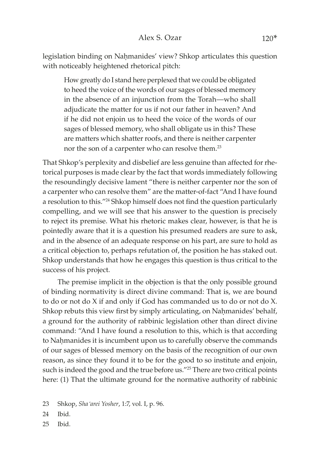legislation binding on Nahmanides' view? Shkop articulates this question with noticeably heightened rhetorical pitch:

How greatly do I stand here perplexed that we could be obligated to heed the voice of the words of our sages of blessed memory in the absence of an injunction from the Torah—who shall adjudicate the matter for us if not our father in heaven? And if he did not enjoin us to heed the voice of the words of our sages of blessed memory, who shall obligate us in this? These are matters which shatter roofs, and there is neither carpenter nor the son of a carpenter who can resolve them.<sup>23</sup>

That Shkop's perplexity and disbelief are less genuine than affected for rhetorical purposes is made clear by the fact that words immediately following the resoundingly decisive lament "there is neither carpenter nor the son of a carpenter who can resolve them" are the matter-of-fact "And I have found a resolution to this."24 Shkop himself does not find the question particularly compelling, and we will see that his answer to the question is precisely to reject its premise. What his rhetoric makes clear, however, is that he is pointedly aware that it is a question his presumed readers are sure to ask, and in the absence of an adequate response on his part, are sure to hold as a critical objection to, perhaps refutation of, the position he has staked out. Shkop understands that how he engages this question is thus critical to the success of his project.

The premise implicit in the objection is that the only possible ground of binding normativity is direct divine command: That is, we are bound to do or not do X if and only if God has commanded us to do or not do X. Shkop rebuts this view first by simply articulating, on Nahmanides' behalf, a ground for the authority of rabbinic legislation other than direct divine command: "And I have found a resolution to this, which is that according to Nahmanides it is incumbent upon us to carefully observe the commands of our sages of blessed memory on the basis of the recognition of our own reason, as since they found it to be for the good to so institute and enjoin, such is indeed the good and the true before us."<sup>25</sup> There are two critical points here: (1) That the ultimate ground for the normative authority of rabbinic

- 24 Ibid.
- 25 Ibid.

<sup>23</sup> Shkop, *Sha'arei Yosher*, 1:7, vol. I, p. 96.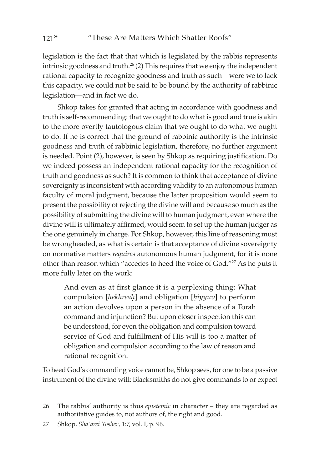legislation is the fact that that which is legislated by the rabbis represents intrinsic goodness and truth. $26$  (2) This requires that we enjoy the independent rational capacity to recognize goodness and truth as such—were we to lack this capacity, we could not be said to be bound by the authority of rabbinic legislation—and in fact we do.

Shkop takes for granted that acting in accordance with goodness and truth is self-recommending: that we ought to do what is good and true is akin to the more overtly tautologous claim that we ought to do what we ought to do. If he is correct that the ground of rabbinic authority is the intrinsic goodness and truth of rabbinic legislation, therefore, no further argument is needed. Point (2), however, is seen by Shkop as requiring justification. Do we indeed possess an independent rational capacity for the recognition of truth and goodness as such? It is common to think that acceptance of divine sovereignty is inconsistent with according validity to an autonomous human faculty of moral judgment, because the latter proposition would seem to present the possibility of rejecting the divine will and because so much as the possibility of submitting the divine will to human judgment, even where the divine will is ultimately affirmed, would seem to set up the human judger as the one genuinely in charge. For Shkop, however, this line of reasoning must be wrongheaded, as what is certain is that acceptance of divine sovereignty on normative matters *requires* autonomous human judgment, for it is none other than reason which "accedes to heed the voice of God."<sup>27</sup> As he puts it more fully later on the work:

And even as at first glance it is a perplexing thing: What compulsion [*hekhreaê*] and obligation [*êiyyuv*] to perform an action devolves upon a person in the absence of a Torah command and injunction? But upon closer inspection this can be understood, for even the obligation and compulsion toward service of God and fulfillment of His will is too a matter of obligation and compulsion according to the law of reason and rational recognition.

To heed God's commanding voice cannot be, Shkop sees, for one to be a passive instrument of the divine will: Blacksmiths do not give commands to or expect

<sup>26</sup> The rabbis' authority is thus *epistemic* in character – they are regarded as authoritative guides to, not authors of, the right and good.

<sup>27</sup> Shkop, *Sha'arei Yosher*, 1:7, vol. I, p. 96.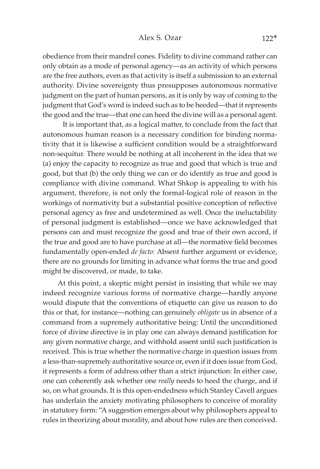obedience from their mandrel cones. Fidelity to divine command rather can only obtain as a mode of personal agency—as an activity of which persons are the free authors, even as that activity is itself a submission to an external authority. Divine sovereignty thus presupposes autonomous normative judgment on the part of human persons, as it is only by way of coming to the judgment that God's word is indeed such as to be heeded—that it represents the good and the true—that one can heed the divine will as a personal agent.

 It is important that, as a logical matter, to conclude from the fact that autonomous human reason is a necessary condition for binding normativity that it is likewise a sufficient condition would be a straightforward non-sequitur. There would be nothing at all incoherent in the idea that we (a) enjoy the capacity to recognize as true and good that which is true and good, but that (b) the only thing we can or do identify as true and good is compliance with divine command. What Shkop is appealing to with his argument, therefore, is not only the formal-logical role of reason in the workings of normativity but a substantial positive conception of reflective personal agency as free and undetermined as well. Once the ineluctability of personal judgment is established—once we have acknowledged that persons can and must recognize the good and true of their own accord, if the true and good are to have purchase at all—the normative field becomes fundamentally open-ended *de facto*: Absent further argument or evidence, there are no grounds for limiting in advance what forms the true and good might be discovered, or made, to take.

At this point, a skeptic might persist in insisting that while we may indeed recognize various forms of normative charge—hardly anyone would dispute that the conventions of etiquette can give us reason to do this or that, for instance—nothing can genuinely *obligate* us in absence of a command from a supremely authoritative being: Until the unconditioned force of divine directive is in play one can always demand justification for any given normative charge, and withhold assent until such justification is received. This is true whether the normative charge in question issues from a less-than-supremely authoritative source or, even if it does issue from God, it represents a form of address other than a strict injunction: In either case, one can coherently ask whether one *really* needs to heed the charge, and if so, on what grounds. It is this open-endedness which Stanley Cavell argues has underlain the anxiety motivating philosophers to conceive of morality in statutory form: "A suggestion emerges about why philosophers appeal to rules in theorizing about morality, and about how rules are then conceived.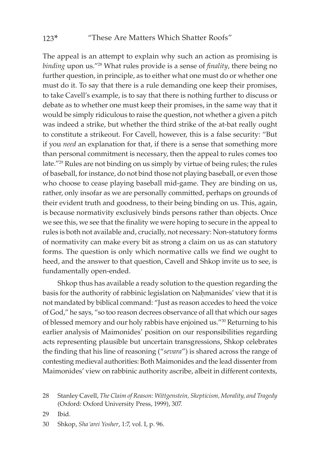The appeal is an attempt to explain why such an action as promising is *binding* upon us."28 What rules provide is a sense of *finality*, there being no further question, in principle, as to either what one must do or whether one must do it. To say that there is a rule demanding one keep their promises, to take Cavell's example, is to say that there is nothing further to discuss or debate as to whether one must keep their promises, in the same way that it would be simply ridiculous to raise the question, not whether a given a pitch was indeed a strike, but whether the third strike of the at-bat really ought to constitute a strikeout. For Cavell, however, this is a false security: "But if you *need* an explanation for that, if there is a sense that something more than personal commitment is necessary, then the appeal to rules comes too late."29 Rules are not binding on us simply by virtue of being rules; the rules of baseball, for instance, do not bind those not playing baseball, or even those who choose to cease playing baseball mid-game. They are binding on us, rather, only insofar as we are personally committed, perhaps on grounds of their evident truth and goodness, to their being binding on us. This, again, is because normativity exclusively binds persons rather than objects. Once we see this, we see that the finality we were hoping to secure in the appeal to rules is both not available and, crucially, not necessary: Non-statutory forms of normativity can make every bit as strong a claim on us as can statutory forms. The question is only which normative calls we find we ought to heed, and the answer to that question, Cavell and Shkop invite us to see, is fundamentally open-ended.

Shkop thus has available a ready solution to the question regarding the basis for the authority of rabbinic legislation on Nahmanides' view that it is not mandated by biblical command: "Just as reason accedes to heed the voice of God," he says, "so too reason decrees observance of all that which our sages of blessed memory and our holy rabbis have enjoined us."30 Returning to his earlier analysis of Maimonides' position on our responsibilities regarding acts representing plausible but uncertain transgressions, Shkop celebrates the finding that his line of reasoning ("*sevara*") is shared across the range of contesting medieval authorities: Both Maimonides and the lead dissenter from Maimonides' view on rabbinic authority ascribe, albeit in different contexts,

29 Ibid.

<sup>28</sup> Stanley Cavell, *The Claim of Reason: Wittgenstein, Skepticism, Morality, and Tragedy*  (Oxford: Oxford University Press, 1999), 307.

<sup>30</sup> Shkop, *Sha'arei Yosher*, 1:7, vol. I, p. 96.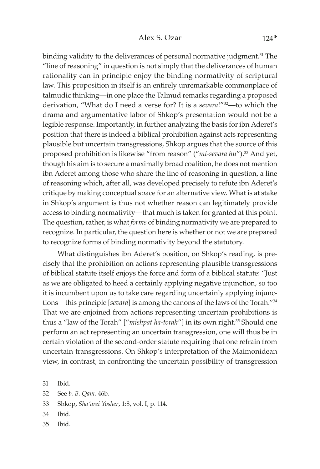binding validity to the deliverances of personal normative judgment.<sup>31</sup> The "line of reasoning" in question is not simply that the deliverances of human rationality can in principle enjoy the binding normativity of scriptural law. This proposition in itself is an entirely unremarkable commonplace of talmudic thinking—in one place the Talmud remarks regarding a proposed derivation, "What do I need a verse for? It is a *sevara*!"32—to which the drama and argumentative labor of Shkop's presentation would not be a legible response. Importantly, in further analyzing the basis for ibn Aderet's position that there is indeed a biblical prohibition against acts representing plausible but uncertain transgressions, Shkop argues that the source of this proposed prohibition is likewise "from reason" ("*mi-sevara hu*").33 And yet, though his aim is to secure a maximally broad coalition, he does not mention ibn Aderet among those who share the line of reasoning in question, a line of reasoning which, after all, was developed precisely to refute ibn Aderet's critique by making conceptual space for an alternative view. What is at stake in Shkop's argument is thus not whether reason can legitimately provide access to binding normativity—that much is taken for granted at this point. The question, rather, is what *forms* of binding normativity we are prepared to recognize. In particular, the question here is whether or not we are prepared to recognize forms of binding normativity beyond the statutory.

What distinguishes ibn Aderet's position, on Shkop's reading, is precisely that the prohibition on actions representing plausible transgressions of biblical statute itself enjoys the force and form of a biblical statute: "Just as we are obligated to heed a certainly applying negative injunction, so too it is incumbent upon us to take care regarding uncertainly applying injunctions—this principle [*sevara*] is among the canons of the laws of the Torah."34 That we are enjoined from actions representing uncertain prohibitions is thus a "law of the Torah" ["mishpat ha-torah"] in its own right.<sup>35</sup> Should one perform an act representing an uncertain transgression, one will thus be in certain violation of the second-order statute requiring that one refrain from uncertain transgressions. On Shkop's interpretation of the Maimonidean view, in contrast, in confronting the uncertain possibility of transgression

31 Ibid.

32 See *b. B. Qam.* 46b.

33 Shkop, *Sha'arei Yosher*, 1:8, vol. I, p. 114.

34 Ibid.

35 Ibid.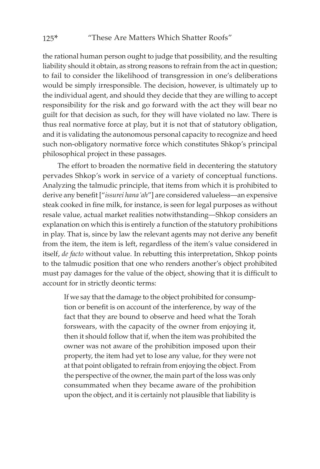the rational human person ought to judge that possibility, and the resulting liability should it obtain, as strong reasons to refrain from the act in question; to fail to consider the likelihood of transgression in one's deliberations would be simply irresponsible. The decision, however, is ultimately up to the individual agent, and should they decide that they are willing to accept responsibility for the risk and go forward with the act they will bear no guilt for that decision as such, for they will have violated no law. There is thus real normative force at play, but it is not that of statutory obligation, and it is validating the autonomous personal capacity to recognize and heed such non-obligatory normative force which constitutes Shkop's principal philosophical project in these passages.

The effort to broaden the normative field in decentering the statutory pervades Shkop's work in service of a variety of conceptual functions. Analyzing the talmudic principle, that items from which it is prohibited to derive any benefit ["*issurei hana'ah*"] are considered valueless—an expensive steak cooked in fine milk, for instance, is seen for legal purposes as without resale value, actual market realities notwithstanding—Shkop considers an explanation on which this is entirely a function of the statutory prohibitions in play. That is, since by law the relevant agents may not derive any benefit from the item, the item is left, regardless of the item's value considered in itself, *de facto* without value. In rebutting this interpretation, Shkop points to the talmudic position that one who renders another's object prohibited must pay damages for the value of the object, showing that it is difficult to account for in strictly deontic terms:

If we say that the damage to the object prohibited for consumption or benefit is on account of the interference, by way of the fact that they are bound to observe and heed what the Torah forswears, with the capacity of the owner from enjoying it, then it should follow that if, when the item was prohibited the owner was not aware of the prohibition imposed upon their property, the item had yet to lose any value, for they were not at that point obligated to refrain from enjoying the object. From the perspective of the owner, the main part of the loss was only consummated when they became aware of the prohibition upon the object, and it is certainly not plausible that liability is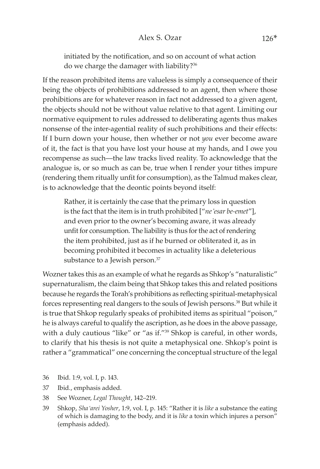initiated by the notification, and so on account of what action do we charge the damager with liability?<sup>36</sup>

If the reason prohibited items are valueless is simply a consequence of their being the objects of prohibitions addressed to an agent, then where those prohibitions are for whatever reason in fact not addressed to a given agent, the objects should not be without value relative to that agent. Limiting our normative equipment to rules addressed to deliberating agents thus makes nonsense of the inter-agential reality of such prohibitions and their effects: If I burn down your house, then whether or not *you* ever become aware of it, the fact is that you have lost your house at my hands, and I owe you recompense as such—the law tracks lived reality. To acknowledge that the analogue is, or so much as can be, true when I render your tithes impure (rendering them ritually unfit for consumption), as the Talmud makes clear, is to acknowledge that the deontic points beyond itself:

Rather, it is certainly the case that the primary loss in question is the fact that the item is in truth prohibited ["*ne'esar be-emet*"], and even prior to the owner's becoming aware, it was already unfit for consumption. The liability is thus for the act of rendering the item prohibited, just as if he burned or obliterated it, as in becoming prohibited it becomes in actuality like a deleterious substance to a Jewish person.<sup>37</sup>

Wozner takes this as an example of what he regards as Shkop's "naturalistic" supernaturalism, the claim being that Shkop takes this and related positions because he regards the Torah's prohibitions as reflecting spiritual-metaphysical forces representing real dangers to the souls of Jewish persons.38 But while it is true that Shkop regularly speaks of prohibited items as spiritual "poison," he is always careful to qualify the ascription, as he does in the above passage, with a duly cautious "like" or "as if."<sup>39</sup> Shkop is careful, in other words, to clarify that his thesis is not quite a metaphysical one. Shkop's point is rather a "grammatical" one concerning the conceptual structure of the legal

- 36 Ibid. 1:9, vol. I, p. 143.
- 37 Ibid., emphasis added.
- 38 See Wozner, *Legal Thought*, 142–219.
- 39 Shkop, *Sha'arei Yosher*, 1:9, vol. I, p. 145: "Rather it is *like* a substance the eating of which is damaging to the body, and it is *like* a toxin which injures a person" (emphasis added).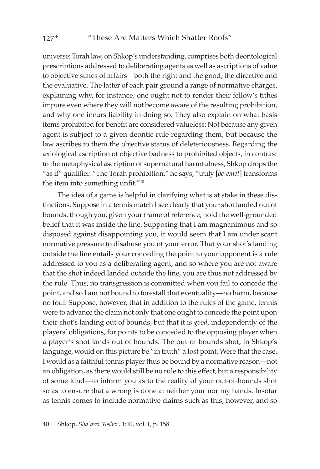universe: Torah law, on Shkop's understanding, comprises both deontological prescriptions addressed to deliberating agents as well as ascriptions of value to objective states of affairs—both the right and the good, the directive and the evaluative. The latter of each pair ground a range of normative charges, explaining why, for instance, one ought not to render their fellow's tithes impure even where they will not become aware of the resulting prohibition, and why one incurs liability in doing so. They also explain on what basis items prohibited for benefit are considered valueless: Not because any given agent is subject to a given deontic rule regarding them, but because the law ascribes to them the objective status of deleteriousness. Regarding the axiological ascription of objective badness to prohibited objects, in contrast to the metaphysical ascription of supernatural harmfulness, Shkop drops the "as if" qualifier. "The Torah prohibition," he says, "truly [*be-emet*] transforms the item into something unfit."<sup>40</sup>

The idea of a game is helpful in clarifying what is at stake in these distinctions. Suppose in a tennis match I see clearly that your shot landed out of bounds, though you, given your frame of reference, hold the well-grounded belief that it was inside the line. Supposing that I am magnanimous and so disposed against disappointing you, it would seem that I am under scant normative pressure to disabuse you of your error. That your shot's landing outside the line entails your conceding the point to your opponent is a rule addressed to you as a deliberating agent, and so where you are not aware that the shot indeed landed outside the line, you are thus not addressed by the rule. Thus, no transgression is committed when you fail to concede the point, and so I am not bound to forestall that eventuality—no harm, because no foul. Suppose, however, that in addition to the rules of the game, tennis were to advance the claim not only that one ought to concede the point upon their shot's landing out of bounds, but that it is *good*, independently of the players' obligations, for points to be conceded to the opposing player when a player's shot lands out of bounds. The out-of-bounds shot, in Shkop's language, would on this picture be "in truth" a lost point. Were that the case, I would as a faithful tennis player thus be bound by a normative reason—not an obligation, as there would still be no rule to this effect, but a responsibility of some kind—to inform you as to the reality of your out-of-bounds shot so as to ensure that a wrong is done at neither your nor my hands. Insofar as tennis comes to include normative claims such as this, however, and so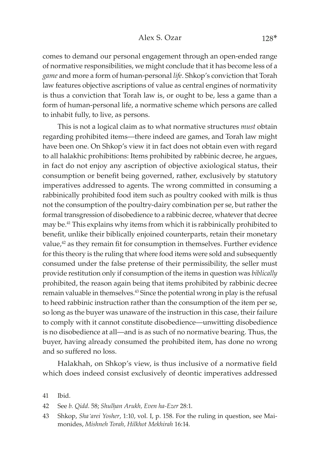#### Alex S. Ozar 128<sup>\*</sup>

comes to demand our personal engagement through an open-ended range of normative responsibilities, we might conclude that it has become less of a *game* and more a form of human-personal *life*. Shkop's conviction that Torah law features objective ascriptions of value as central engines of normativity is thus a conviction that Torah law is, or ought to be, less a game than a form of human-personal life, a normative scheme which persons are called to inhabit fully, to live, as persons.

This is not a logical claim as to what normative structures *must* obtain regarding prohibited items—there indeed are games, and Torah law might have been one. On Shkop's view it in fact does not obtain even with regard to all halakhic prohibitions: Items prohibited by rabbinic decree, he argues, in fact do not enjoy any ascription of objective axiological status, their consumption or benefit being governed, rather, exclusively by statutory imperatives addressed to agents. The wrong committed in consuming a rabbinically prohibited food item such as poultry cooked with milk is thus not the consumption of the poultry-dairy combination per se, but rather the formal transgression of disobedience to a rabbinic decree, whatever that decree may be.41 This explains why items from which it is rabbinically prohibited to benefit, unlike their biblically enjoined counterparts, retain their monetary value,<sup>42</sup> as they remain fit for consumption in themselves. Further evidence for this theory is the ruling that where food items were sold and subsequently consumed under the false pretense of their permissibility, the seller must provide restitution only if consumption of the items in question was *biblically* prohibited, the reason again being that items prohibited by rabbinic decree remain valuable in themselves.<sup>43</sup> Since the potential wrong in play is the refusal to heed rabbinic instruction rather than the consumption of the item per se, so long as the buyer was unaware of the instruction in this case, their failure to comply with it cannot constitute disobedience—unwitting disobedience is no disobedience at all—and is as such of no normative bearing. Thus, the buyer, having already consumed the prohibited item, has done no wrong and so suffered no loss.

Halakhah, on Shkop's view, is thus inclusive of a normative field which does indeed consist exclusively of deontic imperatives addressed

42 See *b. Qidd*. 58; *Shulêan Arukh, Even ha-Ezer* 28:1.

<sup>41</sup> Ibid.

<sup>43</sup> Shkop, *Sha'arei Yosher*, 1:10, vol. I, p. 158. For the ruling in question, see Maimonides, *Mishneh Torah, Hilkhot Mekhirah* 16:14.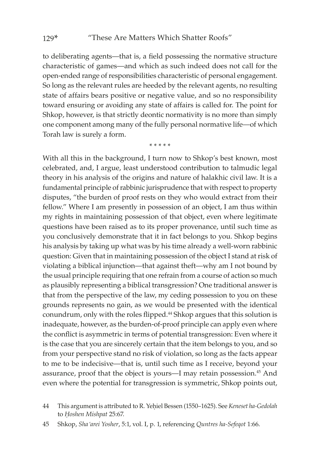to deliberating agents—that is, a field possessing the normative structure characteristic of games—and which as such indeed does not call for the open-ended range of responsibilities characteristic of personal engagement. So long as the relevant rules are heeded by the relevant agents, no resulting state of affairs bears positive or negative value, and so no responsibility toward ensuring or avoiding any state of affairs is called for. The point for Shkop, however, is that strictly deontic normativity is no more than simply one component among many of the fully personal normative life—of which Torah law is surely a form.

\* \* \* \* \*

With all this in the background, I turn now to Shkop's best known, most celebrated, and, I argue, least understood contribution to talmudic legal theory in his analysis of the origins and nature of halakhic civil law. It is a fundamental principle of rabbinic jurisprudence that with respect to property disputes, "the burden of proof rests on they who would extract from their fellow." Where I am presently in possession of an object, I am thus within my rights in maintaining possession of that object, even where legitimate questions have been raised as to its proper provenance, until such time as you conclusively demonstrate that it in fact belongs to you. Shkop begins his analysis by taking up what was by his time already a well-worn rabbinic question: Given that in maintaining possession of the object I stand at risk of violating a biblical injunction—that against theft—why am I not bound by the usual principle requiring that one refrain from a course of action so much as plausibly representing a biblical transgression? One traditional answer is that from the perspective of the law, my ceding possession to you on these grounds represents no gain, as we would be presented with the identical conundrum, only with the roles flipped.<sup>44</sup> Shkop argues that this solution is inadequate, however, as the burden-of-proof principle can apply even where the conflict is asymmetric in terms of potential transgression: Even where it is the case that you are sincerely certain that the item belongs to you, and so from your perspective stand no risk of violation, so long as the facts appear to me to be indecisive—that is, until such time as I receive, beyond your assurance, proof that the object is yours—I may retain possession.<sup>45</sup> And even where the potential for transgression is symmetric, Shkop points out,

<sup>44</sup> This argument is attributed to R. Yehiel Bessen (1550–1625). See *Keneset ha-Gedolah* to *Hoshen Mishpat* 25:67.

<sup>45</sup> Shkop, *Sha'arei Yosher*, 5:1, vol. I, p. 1, referencing *Quntres ha-Sefeqot* 1:66.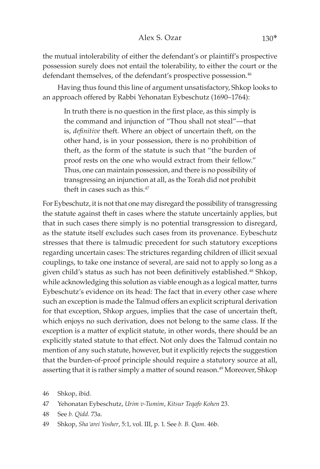the mutual intolerability of either the defendant's or plaintiff's prospective possession surely does not entail the tolerability, to either the court or the defendant themselves, of the defendant's prospective possession.<sup>46</sup>

Having thus found this line of argument unsatisfactory, Shkop looks to an approach offered by Rabbi Yehonatan Eybeschutz (1690–1764):

In truth there is no question in the first place, as this simply is the command and injunction of "Thou shall not steal"—that is, *definitive* theft. Where an object of uncertain theft, on the other hand, is in your possession, there is no prohibition of theft, as the form of the statute is such that "the burden of proof rests on the one who would extract from their fellow." Thus, one can maintain possession, and there is no possibility of transgressing an injunction at all, as the Torah did not prohibit theft in cases such as this.<sup>47</sup>

For Eybeschutz, it is not that one may disregard the possibility of transgressing the statute against theft in cases where the statute uncertainly applies, but that in such cases there simply is no potential transgression to disregard, as the statute itself excludes such cases from its provenance. Eybeschutz stresses that there is talmudic precedent for such statutory exceptions regarding uncertain cases: The strictures regarding children of illicit sexual couplings, to take one instance of several, are said not to apply so long as a given child's status as such has not been definitively established.<sup>48</sup> Shkop, while acknowledging this solution as viable enough as a logical matter, turns Eybeschutz's evidence on its head: The fact that in every other case where such an exception is made the Talmud offers an explicit scriptural derivation for that exception, Shkop argues, implies that the case of uncertain theft, which enjoys no such derivation, does not belong to the same class. If the exception is a matter of explicit statute, in other words, there should be an explicitly stated statute to that effect. Not only does the Talmud contain no mention of any such statute, however, but it explicitly rejects the suggestion that the burden-of-proof principle should require a statutory source at all, asserting that it is rather simply a matter of sound reason.<sup>49</sup> Moreover, Shkop

46 Shkop, ibid.

47 Yehonatan Eybeschutz, *Urim v-Tumim*, *Kitsur Teqafo Kohen* 23.

48 See *b. Qidd.* 73a.

49 Shkop, *Sha'arei Yosher*, 5:1, vol. III, p. 1. See *b. B. Qam.* 46b.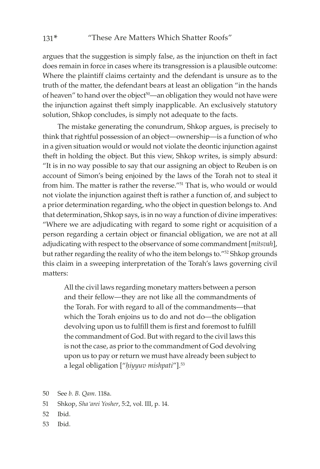argues that the suggestion is simply false, as the injunction on theft in fact does remain in force in cases where its transgression is a plausible outcome: Where the plaintiff claims certainty and the defendant is unsure as to the truth of the matter, the defendant bears at least an obligation "in the hands of heaven" to hand over the object<sup>50</sup>—an obligation they would not have were the injunction against theft simply inapplicable. An exclusively statutory solution, Shkop concludes, is simply not adequate to the facts.

The mistake generating the conundrum, Shkop argues, is precisely to think that rightful possession of an object—ownership—is a function of who in a given situation would or would not violate the deontic injunction against theft in holding the object. But this view, Shkop writes, is simply absurd: "It is in no way possible to say that our assigning an object to Reuben is on account of Simon's being enjoined by the laws of the Torah not to steal it from him. The matter is rather the reverse."51 That is, who would or would not violate the injunction against theft is rather a function of, and subject to a prior determination regarding, who the object in question belongs to. And that determination, Shkop says, is in no way a function of divine imperatives: "Where we are adjudicating with regard to some right or acquisition of a person regarding a certain object or financial obligation, we are not at all adjudicating with respect to the observance of some commandment [*mitsvah*], but rather regarding the reality of who the item belongs to."52 Shkop grounds this claim in a sweeping interpretation of the Torah's laws governing civil matters:

All the civil laws regarding monetary matters between a person and their fellow—they are not like all the commandments of the Torah. For with regard to all of the commandments—that which the Torah enjoins us to do and not do—the obligation devolving upon us to fulfill them is first and foremost to fulfill the commandment of God. But with regard to the civil laws this is not the case, as prior to the commandment of God devolving upon us to pay or return we must have already been subject to a legal obligation ["hiyyuv mishpati"].<sup>53</sup>

- 50 See *b. B. Qam*. 118a.
- 51 Shkop, *Sha'arei Yosher*, 5:2, vol. III, p. 14.
- 52 Ibid.
- 53 Ibid.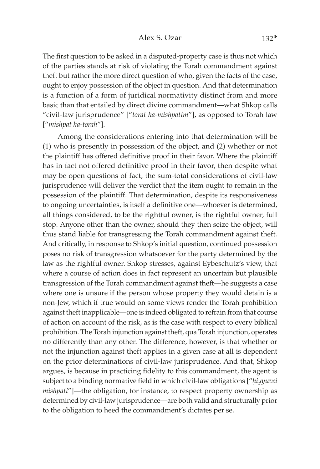The first question to be asked in a disputed-property case is thus not which of the parties stands at risk of violating the Torah commandment against theft but rather the more direct question of who, given the facts of the case, ought to enjoy possession of the object in question. And that determination is a function of a form of juridical normativity distinct from and more basic than that entailed by direct divine commandment—what Shkop calls "civil-law jurisprudence" ["*torat ha-mishpatim*"], as opposed to Torah law ["*mishpat ha-torah*"].

Among the considerations entering into that determination will be (1) who is presently in possession of the object, and (2) whether or not the plaintiff has offered definitive proof in their favor. Where the plaintiff has in fact not offered definitive proof in their favor, then despite what may be open questions of fact, the sum-total considerations of civil-law jurisprudence will deliver the verdict that the item ought to remain in the possession of the plaintiff. That determination, despite its responsiveness to ongoing uncertainties, is itself a definitive one—whoever is determined, all things considered, to be the rightful owner, is the rightful owner, full stop. Anyone other than the owner, should they then seize the object, will thus stand liable for transgressing the Torah commandment against theft. And critically, in response to Shkop's initial question, continued possession poses no risk of transgression whatsoever for the party determined by the law as the rightful owner. Shkop stresses, against Eybeschutz's view, that where a course of action does in fact represent an uncertain but plausible transgression of the Torah commandment against theft—he suggests a case where one is unsure if the person whose property they would detain is a non-Jew, which if true would on some views render the Torah prohibition against theft inapplicable—one is indeed obligated to refrain from that course of action on account of the risk, as is the case with respect to every biblical prohibition. The Torah injunction against theft, qua Torah injunction, operates no differently than any other. The difference, however, is that whether or not the injunction against theft applies in a given case at all is dependent on the prior determinations of civil-law jurisprudence. And that, Shkop argues, is because in practicing fidelity to this commandment, the agent is subject to a binding normative field in which civil-law obligations ["hiyyuvei *mishpati*"]—the obligation, for instance, to respect property ownership as determined by civil-law jurisprudence—are both valid and structurally prior to the obligation to heed the commandment's dictates per se.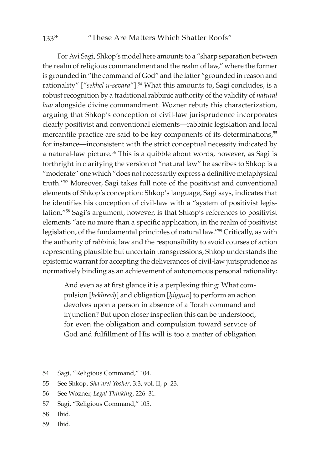#### 133\* "These Are Matters Which Shatter Roofs"

For Avi Sagi, Shkop's model here amounts to a "sharp separation between the realm of religious commandment and the realm of law," where the former is grounded in "the command of God" and the latter "grounded in reason and rationality" ["sekhel u-sevara"].<sup>54</sup> What this amounts to, Sagi concludes, is a robust recognition by a traditional rabbinic authority of the validity of *natural law* alongside divine commandment. Wozner rebuts this characterization, arguing that Shkop's conception of civil-law jurisprudence incorporates clearly positivist and conventional elements—rabbinic legislation and local mercantile practice are said to be key components of its determinations,<sup>55</sup> for instance—inconsistent with the strict conceptual necessity indicated by a natural-law picture.<sup>56</sup> This is a quibble about words, however, as Sagi is forthright in clarifying the version of "natural law" he ascribes to Shkop is a "moderate" one which "does not necessarily express a definitive metaphysical truth."57 Moreover, Sagi takes full note of the positivist and conventional elements of Shkop's conception: Shkop's language, Sagi says, indicates that he identifies his conception of civil-law with a "system of positivist legislation."58 Sagi's argument, however, is that Shkop's references to positivist elements "are no more than a specific application, in the realm of positivist legislation, of the fundamental principles of natural law."59 Critically, as with the authority of rabbinic law and the responsibility to avoid courses of action representing plausible but uncertain transgressions, Shkop understands the epistemic warrant for accepting the deliverances of civil-law jurisprudence as normatively binding as an achievement of autonomous personal rationality:

And even as at first glance it is a perplexing thing: What compulsion [hekhreah] and obligation [hiyyuv] to perform an action devolves upon a person in absence of a Torah command and injunction? But upon closer inspection this can be understood, for even the obligation and compulsion toward service of God and fulfillment of His will is too a matter of obligation

- 54 Sagi, "Religious Command," 104.
- 55 See Shkop, *Sha'arei Yosher*, 3:3, vol. II, p. 23.
- 56 See Wozner, *Legal Thinking*, 226–31.
- 57 Sagi, "Religious Command," 105.
- 58 Ibid.
- 59 Ibid.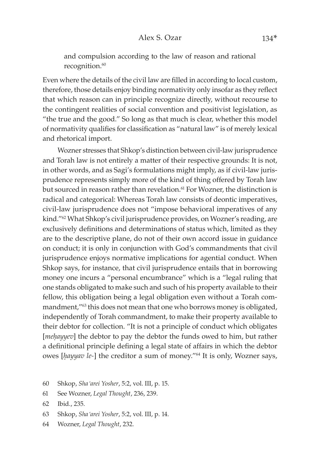and compulsion according to the law of reason and rational recognition.<sup>60</sup>

Even where the details of the civil law are filled in according to local custom, therefore, those details enjoy binding normativity only insofar as they reflect that which reason can in principle recognize directly, without recourse to the contingent realities of social convention and positivist legislation, as "the true and the good." So long as that much is clear, whether this model of normativity qualifies for classification as "natural law" is of merely lexical and rhetorical import.

Wozner stresses that Shkop's distinction between civil-law jurisprudence and Torah law is not entirely a matter of their respective grounds: It is not, in other words, and as Sagi's formulations might imply, as if civil-law jurisprudence represents simply more of the kind of thing offered by Torah law but sourced in reason rather than revelation.<sup>61</sup> For Wozner, the distinction is radical and categorical: Whereas Torah law consists of deontic imperatives, civil-law jurisprudence does not "impose behavioral imperatives of any kind."62 What Shkop's civil jurisprudence provides, on Wozner's reading, are exclusively definitions and determinations of status which, limited as they are to the descriptive plane, do not of their own accord issue in guidance on conduct; it is only in conjunction with God's commandments that civil jurisprudence enjoys normative implications for agential conduct. When Shkop says, for instance, that civil jurisprudence entails that in borrowing money one incurs a "personal encumbrance" which is a "legal ruling that one stands obligated to make such and such of his property available to their fellow, this obligation being a legal obligation even without a Torah commandment,"<sup>63</sup> this does not mean that one who borrows money is obligated, independently of Torah commandment, to make their property available to their debtor for collection. "It is not a principle of conduct which obligates [mehayyev] the debtor to pay the debtor the funds owed to him, but rather a definitional principle defining a legal state of affairs in which the debtor owes [*êayyav le-*] the creditor a sum of money."64 It is only, Wozner says,

64 Wozner, *Legal Thought*, 232.

<sup>60</sup> Shkop, *Sha'arei Yosher*, 5:2, vol. III, p. 15.

<sup>61</sup> See Wozner, *Legal Thought*, 236, 239.

<sup>62</sup> Ibid., 235.

<sup>63</sup> Shkop, *Sha'arei Yosher*, 5:2, vol. III, p. 14.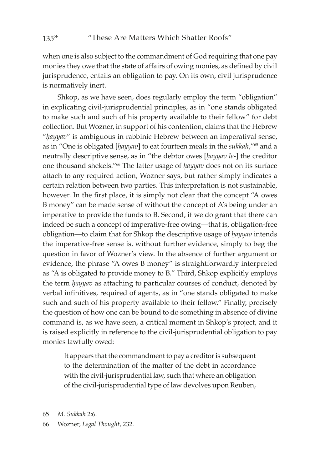when one is also subject to the commandment of God requiring that one pay monies they owe that the state of affairs of owing monies, as defined by civil jurisprudence, entails an obligation to pay. On its own, civil jurisprudence is normatively inert.

Shkop, as we have seen, does regularly employ the term "obligation" in explicating civil-jurisprudential principles, as in "one stands obligated to make such and such of his property available to their fellow" for debt collection. But Wozner, in support of his contention, claims that the Hebrew "*êayyav*" is ambiguous in rabbinic Hebrew between an imperatival sense, as in "One is obligated [*êayyav*] to eat fourteen meals in the *sukkah*,"65 and a neutrally descriptive sense, as in "the debtor owes [hayyav le-] the creditor one thousand shekels."<sup>66</sup> The latter usage of *hayyav* does not on its surface attach to any required action, Wozner says, but rather simply indicates a certain relation between two parties. This interpretation is not sustainable, however. In the first place, it is simply not clear that the concept "A owes B money" can be made sense of without the concept of A's being under an imperative to provide the funds to B. Second, if we do grant that there can indeed be such a concept of imperative-free owing—that is, obligation-free obligation—to claim that for Shkop the descriptive usage of *hayyav* intends the imperative-free sense is, without further evidence, simply to beg the question in favor of Wozner's view. In the absence of further argument or evidence, the phrase "A owes B money" is straightforwardly interpreted as "A is obligated to provide money to B." Third, Shkop explicitly employs the term *hayyav* as attaching to particular courses of conduct, denoted by verbal infinitives, required of agents, as in "one stands obligated to make such and such of his property available to their fellow." Finally, precisely the question of how one can be bound to do something in absence of divine command is, as we have seen, a critical moment in Shkop's project, and it is raised explicitly in reference to the civil-jurisprudential obligation to pay monies lawfully owed:

It appears that the commandment to pay a creditor is subsequent to the determination of the matter of the debt in accordance with the civil-jurisprudential law, such that where an obligation of the civil-jurisprudential type of law devolves upon Reuben,

65 *M. Sukkah* 2:6.

66 Wozner, *Legal Thought*, 232.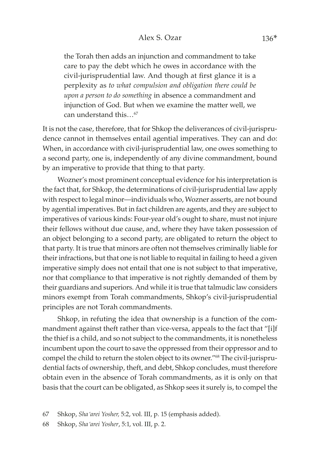### Alex S. Ozar 136<sup>\*</sup>

the Torah then adds an injunction and commandment to take care to pay the debt which he owes in accordance with the civil-jurisprudential law. And though at first glance it is a perplexity as *to what compulsion and obligation there could be upon a person to do something* in absence a commandment and injunction of God. But when we examine the matter well, we can understand this…67

It is not the case, therefore, that for Shkop the deliverances of civil-jurisprudence cannot in themselves entail agential imperatives. They can and do: When, in accordance with civil-jurisprudential law, one owes something to a second party, one is, independently of any divine commandment, bound by an imperative to provide that thing to that party.

Wozner's most prominent conceptual evidence for his interpretation is the fact that, for Shkop, the determinations of civil-jurisprudential law apply with respect to legal minor—individuals who, Wozner asserts, are not bound by agential imperatives. But in fact children are agents, and they are subject to imperatives of various kinds: Four-year old's ought to share, must not injure their fellows without due cause, and, where they have taken possession of an object belonging to a second party, are obligated to return the object to that party. It is true that minors are often not themselves criminally liable for their infractions, but that one is not liable to requital in failing to heed a given imperative simply does not entail that one is not subject to that imperative, nor that compliance to that imperative is not rightly demanded of them by their guardians and superiors. And while it is true that talmudic law considers minors exempt from Torah commandments, Shkop's civil-jurisprudential principles are not Torah commandments.

Shkop, in refuting the idea that ownership is a function of the commandment against theft rather than vice-versa, appeals to the fact that "[i]f the thief is a child, and so not subject to the commandments, it is nonetheless incumbent upon the court to save the oppressed from their oppressor and to compel the child to return the stolen object to its owner."68 The civil-jurisprudential facts of ownership, theft, and debt, Shkop concludes, must therefore obtain even in the absence of Torah commandments, as it is only on that basis that the court can be obligated, as Shkop sees it surely is, to compel the

67 Shkop, *Sha'arei Yosher,* 5:2, vol. III, p. 15 (emphasis added).

68 Shkop, *Sha'arei Yosher*, 5:1, vol. III, p. 2.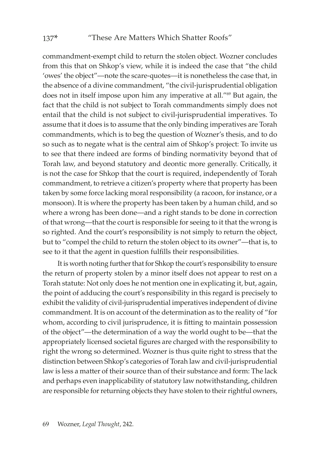commandment-exempt child to return the stolen object. Wozner concludes from this that on Shkop's view, while it is indeed the case that "the child 'owes' the object"—note the scare-quotes—it is nonetheless the case that, in the absence of a divine commandment, "the civil-jurisprudential obligation does not in itself impose upon him any imperative at all."69 But again, the fact that the child is not subject to Torah commandments simply does not entail that the child is not subject to civil-jurisprudential imperatives. To assume that it does is to assume that the only binding imperatives are Torah commandments, which is to beg the question of Wozner's thesis, and to do so such as to negate what is the central aim of Shkop's project: To invite us to see that there indeed are forms of binding normativity beyond that of Torah law, and beyond statutory and deontic more generally. Critically, it is not the case for Shkop that the court is required, independently of Torah commandment, to retrieve a citizen's property where that property has been taken by some force lacking moral responsibility (a racoon, for instance, or a monsoon). It is where the property has been taken by a human child, and so where a wrong has been done—and a right stands to be done in correction of that wrong—that the court is responsible for seeing to it that the wrong is so righted. And the court's responsibility is not simply to return the object, but to "compel the child to return the stolen object to its owner"—that is, to see to it that the agent in question fulfills their responsibilities.

It is worth noting further that for Shkop the court's responsibility to ensure the return of property stolen by a minor itself does not appear to rest on a Torah statute: Not only does he not mention one in explicating it, but, again, the point of adducing the court's responsibility in this regard is precisely to exhibit the validity of civil-jurisprudential imperatives independent of divine commandment. It is on account of the determination as to the reality of "for whom, according to civil jurisprudence, it is fitting to maintain possession of the object"—the determination of a way the world ought to be—that the appropriately licensed societal figures are charged with the responsibility to right the wrong so determined. Wozner is thus quite right to stress that the distinction between Shkop's categories of Torah law and civil-jurisprudential law is less a matter of their source than of their substance and form: The lack and perhaps even inapplicability of statutory law notwithstanding, children are responsible for returning objects they have stolen to their rightful owners,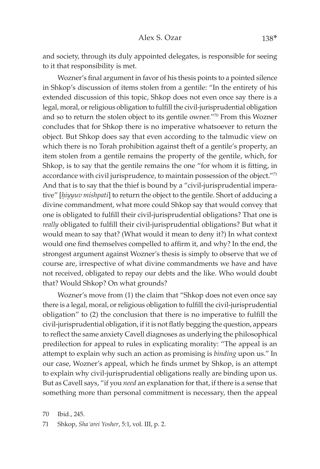and society, through its duly appointed delegates, is responsible for seeing to it that responsibility is met.

Wozner's final argument in favor of his thesis points to a pointed silence in Shkop's discussion of items stolen from a gentile: "In the entirety of his extended discussion of this topic, Shkop does not even once say there is a legal, moral, or religious obligation to fulfill the civil-jurisprudential obligation and so to return the stolen object to its gentile owner."70 From this Wozner concludes that for Shkop there is no imperative whatsoever to return the object. But Shkop does say that even according to the talmudic view on which there is no Torah prohibition against theft of a gentile's property, an item stolen from a gentile remains the property of the gentile, which, for Shkop, is to say that the gentile remains the one "for whom it is fitting, in accordance with civil jurisprudence, to maintain possession of the object."71 And that is to say that the thief is bound by a "civil-jurisprudential imperative" [*êiyyuv mishpati*] to return the object to the gentile. Short of adducing a divine commandment, what more could Shkop say that would convey that one is obligated to fulfill their civil-jurisprudential obligations? That one is *really* obligated to fulfill their civil-jurisprudential obligations? But what it would mean to say that? (What would it mean to deny it?) In what context would one find themselves compelled to affirm it, and why? In the end, the strongest argument against Wozner's thesis is simply to observe that we of course are, irrespective of what divine commandments we have and have not received, obligated to repay our debts and the like. Who would doubt that? Would Shkop? On what grounds?

Wozner's move from (1) the claim that "Shkop does not even once say there is a legal, moral, or religious obligation to fulfill the civil-jurisprudential obligation" to (2) the conclusion that there is no imperative to fulfill the civil-jurisprudential obligation, if it is not flatly begging the question, appears to reflect the same anxiety Cavell diagnoses as underlying the philosophical predilection for appeal to rules in explicating morality: "The appeal is an attempt to explain why such an action as promising is *binding* upon us." In our case, Wozner's appeal, which he finds unmet by Shkop, is an attempt to explain why civil-jurisprudential obligations really are binding upon us. But as Cavell says, "if you *need* an explanation for that, if there is a sense that something more than personal commitment is necessary, then the appeal

70 Ibid., 245.

71 Shkop, *Sha'arei Yosher*, 5:1, vol. III, p. 2.